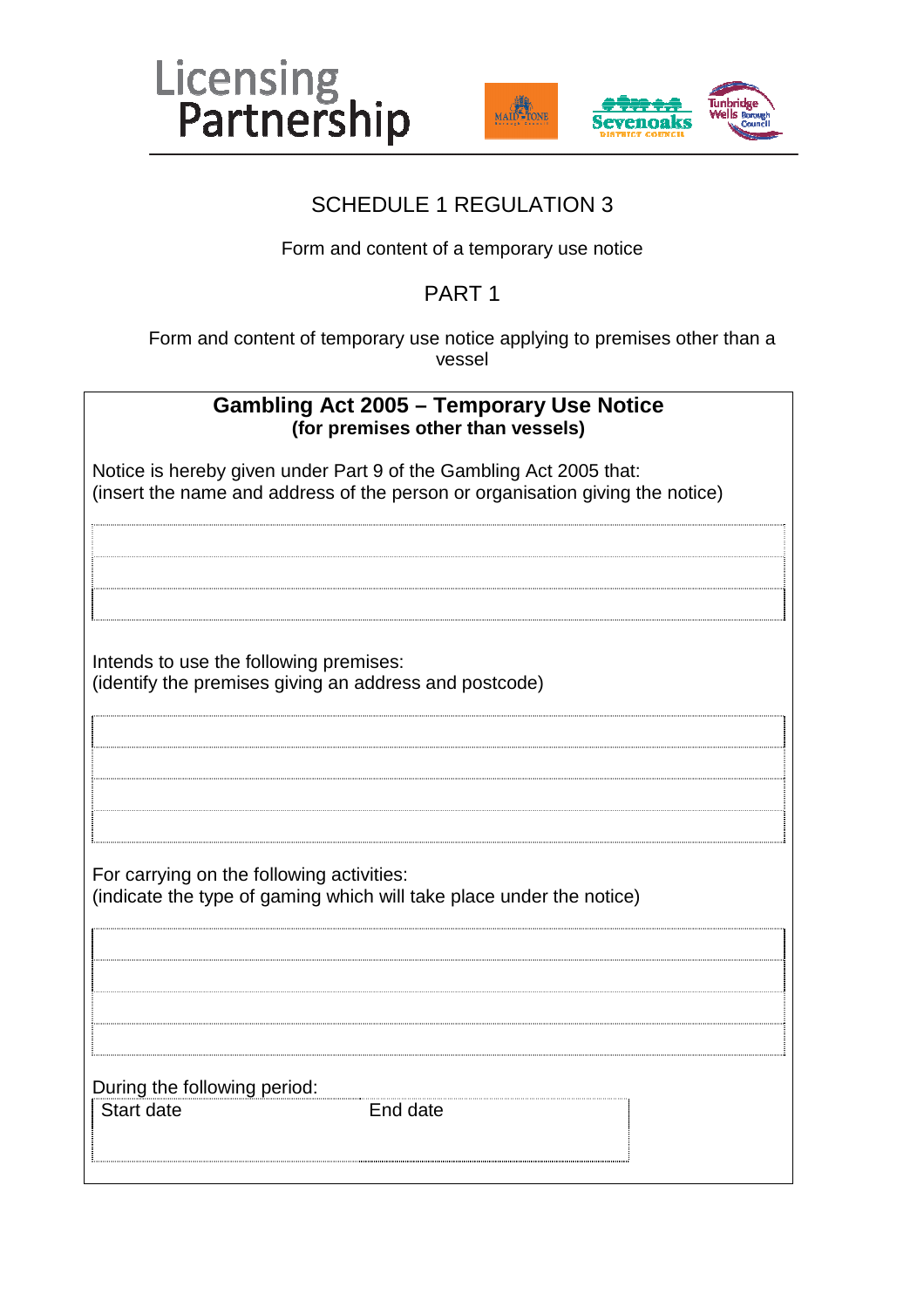



### SCHEDULE 1 REGULATION 3

Form and content of a temporary use notice

### PART 1

Form and content of temporary use notice applying to premises other than a vessel

| <b>Gambling Act 2005 - Temporary Use Notice</b><br>(for premises other than vessels)                                                                |  |  |
|-----------------------------------------------------------------------------------------------------------------------------------------------------|--|--|
| Notice is hereby given under Part 9 of the Gambling Act 2005 that:<br>(insert the name and address of the person or organisation giving the notice) |  |  |
|                                                                                                                                                     |  |  |
|                                                                                                                                                     |  |  |
| Intends to use the following premises:<br>(identify the premises giving an address and postcode)                                                    |  |  |
|                                                                                                                                                     |  |  |
|                                                                                                                                                     |  |  |
| For carrying on the following activities:<br>(indicate the type of gaming which will take place under the notice)                                   |  |  |
|                                                                                                                                                     |  |  |
|                                                                                                                                                     |  |  |
| During the following period:<br><b>Start date</b><br>End date                                                                                       |  |  |
|                                                                                                                                                     |  |  |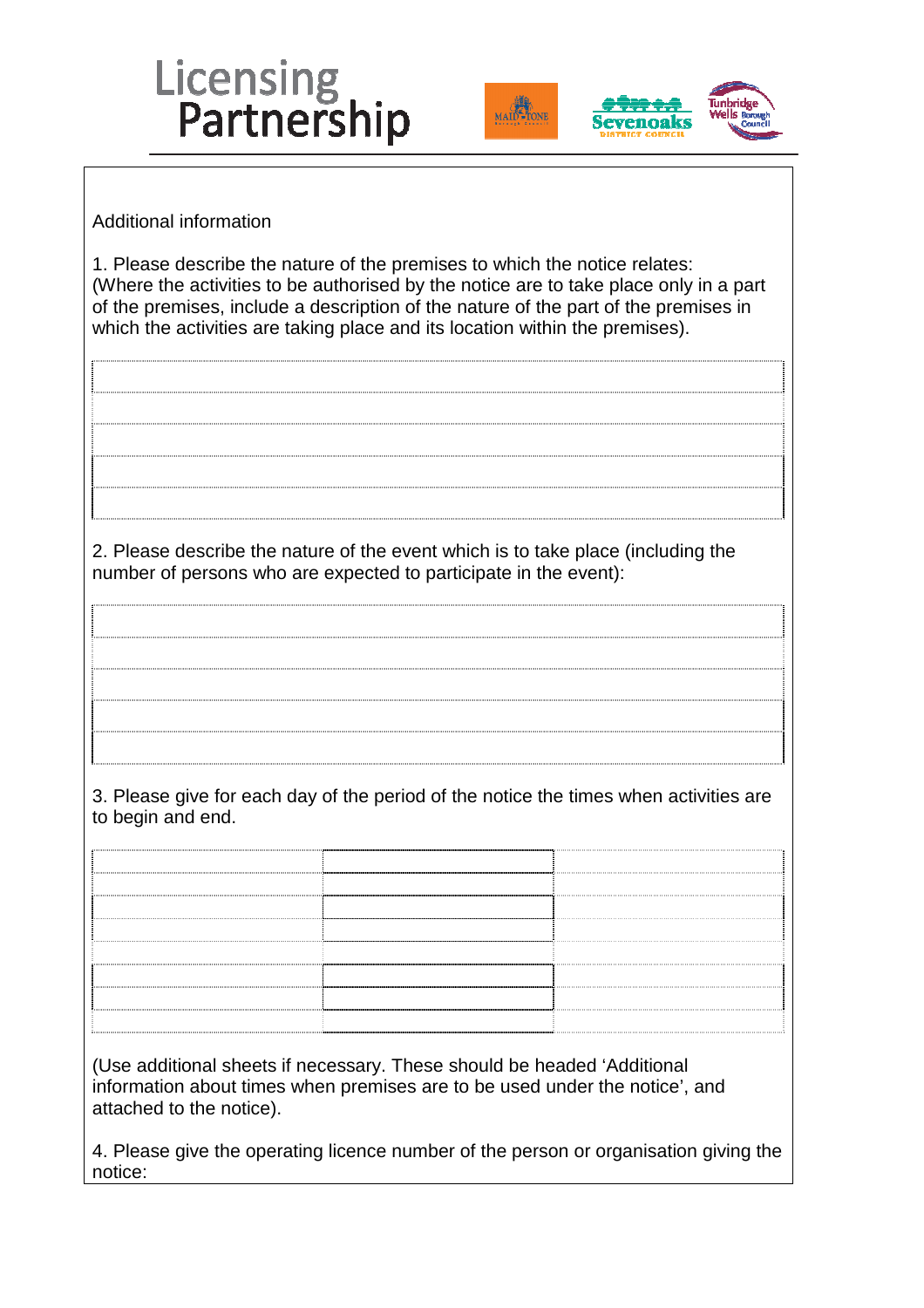





Additional information

1. Please describe the nature of the premises to which the notice relates: (Where the activities to be authorised by the notice are to take place only in a part of the premises, include a description of the nature of the part of the premises in which the activities are taking place and its location within the premises).

2. Please describe the nature of the event which is to take place (including the number of persons who are expected to participate in the event):

3. Please give for each day of the period of the notice the times when activities are to begin and end.

(Use additional sheets if necessary. These should be headed 'Additional information about times when premises are to be used under the notice', and attached to the notice).

4. Please give the operating licence number of the person or organisation giving the notice: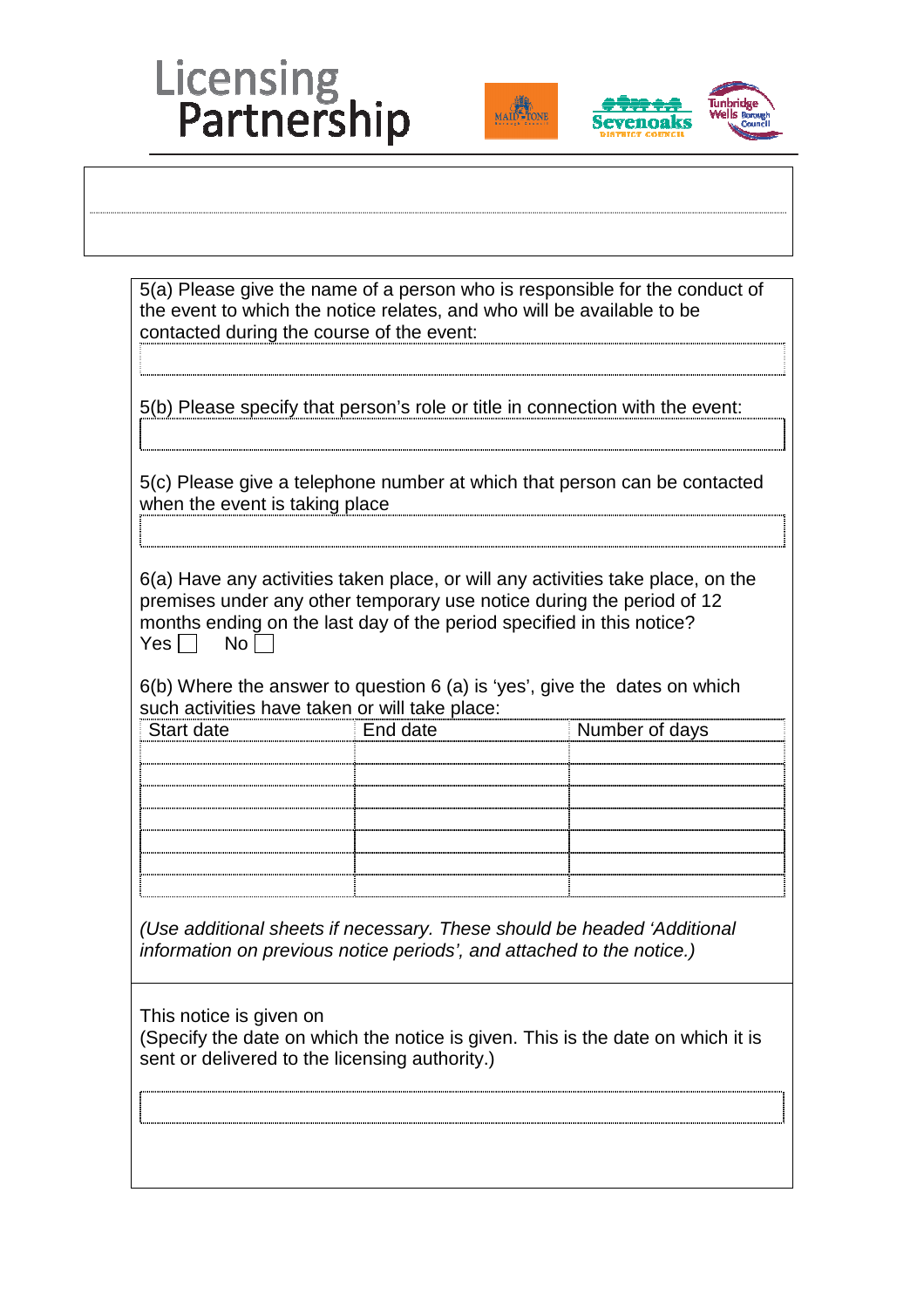## Licensing<br>Partnership





|                                                |                                                                       | 5(b) Please specify that person's role or title in connection with the event:                                                                                                                                                           |
|------------------------------------------------|-----------------------------------------------------------------------|-----------------------------------------------------------------------------------------------------------------------------------------------------------------------------------------------------------------------------------------|
| when the event is taking place                 |                                                                       | 5(c) Please give a telephone number at which that person can be contacted                                                                                                                                                               |
| $Yes \Box$<br>No <sub>1</sub>                  | months ending on the last day of the period specified in this notice? | 6(a) Have any activities taken place, or will any activities take place, on the<br>premises under any other temporary use notice during the period of 12<br>$6(b)$ Where the answer to question 6 (a) is 'yes', give the dates on which |
| Start date                                     | End date                                                              | Number of days                                                                                                                                                                                                                          |
| such activities have taken or will take place: |                                                                       |                                                                                                                                                                                                                                         |
|                                                | information on previous notice periods', and attached to the notice.) | (Use additional sheets if necessary. These should be headed 'Additional                                                                                                                                                                 |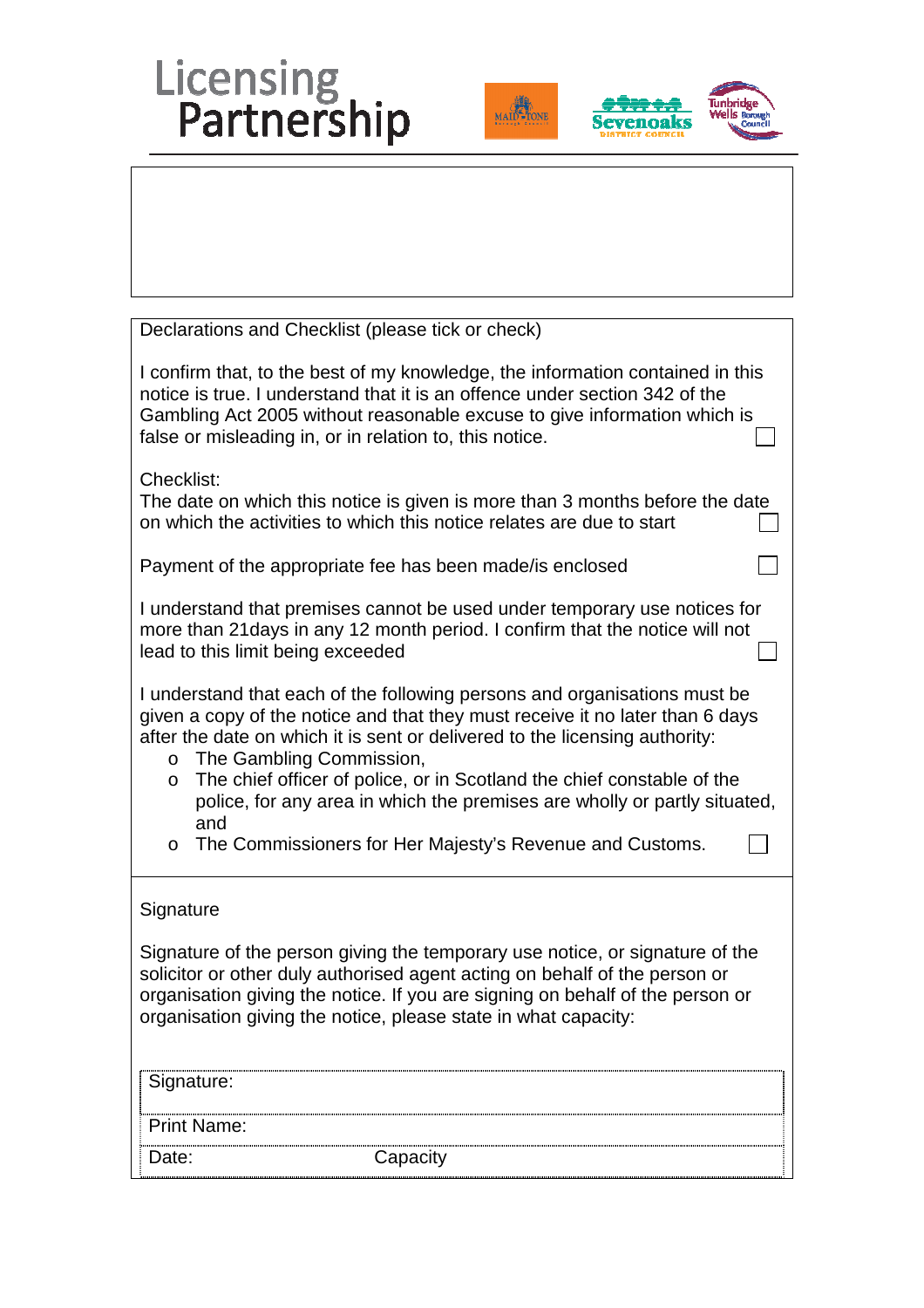# Licensing<br>Partnership





| Declarations and Checklist (please tick or check)                                                                                                                                                                                                                                                                                                                                                                                                                                                                     |  |  |  |
|-----------------------------------------------------------------------------------------------------------------------------------------------------------------------------------------------------------------------------------------------------------------------------------------------------------------------------------------------------------------------------------------------------------------------------------------------------------------------------------------------------------------------|--|--|--|
| I confirm that, to the best of my knowledge, the information contained in this<br>notice is true. I understand that it is an offence under section 342 of the<br>Gambling Act 2005 without reasonable excuse to give information which is<br>false or misleading in, or in relation to, this notice.                                                                                                                                                                                                                  |  |  |  |
| Checklist:<br>The date on which this notice is given is more than 3 months before the date<br>on which the activities to which this notice relates are due to start                                                                                                                                                                                                                                                                                                                                                   |  |  |  |
| Payment of the appropriate fee has been made/is enclosed                                                                                                                                                                                                                                                                                                                                                                                                                                                              |  |  |  |
| I understand that premises cannot be used under temporary use notices for<br>more than 21 days in any 12 month period. I confirm that the notice will not<br>lead to this limit being exceeded                                                                                                                                                                                                                                                                                                                        |  |  |  |
| I understand that each of the following persons and organisations must be<br>given a copy of the notice and that they must receive it no later than 6 days<br>after the date on which it is sent or delivered to the licensing authority:<br>The Gambling Commission,<br>$\Omega$<br>The chief officer of police, or in Scotland the chief constable of the<br>O<br>police, for any area in which the premises are wholly or partly situated,<br>and<br>The Commissioners for Her Majesty's Revenue and Customs.<br>O |  |  |  |
| Signature                                                                                                                                                                                                                                                                                                                                                                                                                                                                                                             |  |  |  |
| Signature of the person giving the temporary use notice, or signature of the<br>solicitor or other duly authorised agent acting on behalf of the person or<br>organisation giving the notice. If you are signing on behalf of the person or<br>organisation giving the notice, please state in what capacity:                                                                                                                                                                                                         |  |  |  |
| Signature:                                                                                                                                                                                                                                                                                                                                                                                                                                                                                                            |  |  |  |
| <b>Print Name:</b>                                                                                                                                                                                                                                                                                                                                                                                                                                                                                                    |  |  |  |
| Capacity<br>Date:                                                                                                                                                                                                                                                                                                                                                                                                                                                                                                     |  |  |  |